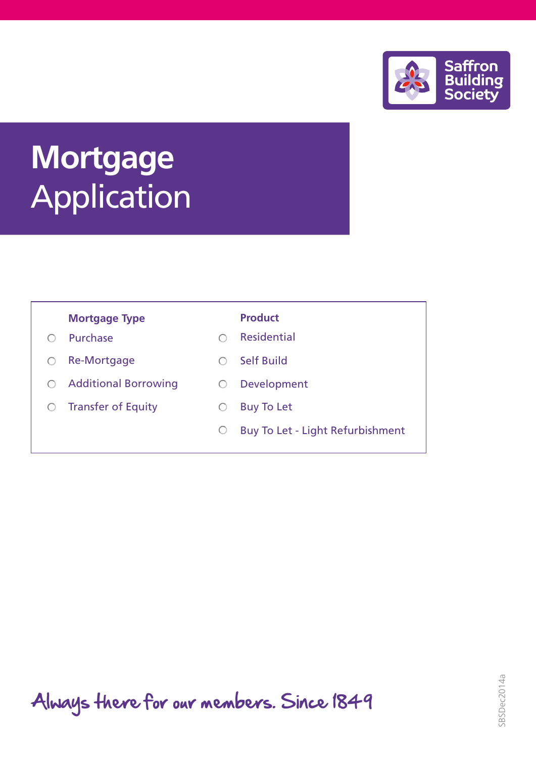

# **Mortgage Application**

# **Mortgage Type <b>Product**

- Purchase  $\bigcirc$
- O Re-Mortgage
- Additional Borrowing
- $O$  Transfer of Equity

- Residential  $\bigcirc$
- Self Build  $\circ$
- O Development
- Buy To Let  $\bigcirc$
- $\bigcirc$ Buy To Let - Light Refurbishment

Always there for our members. Since 1849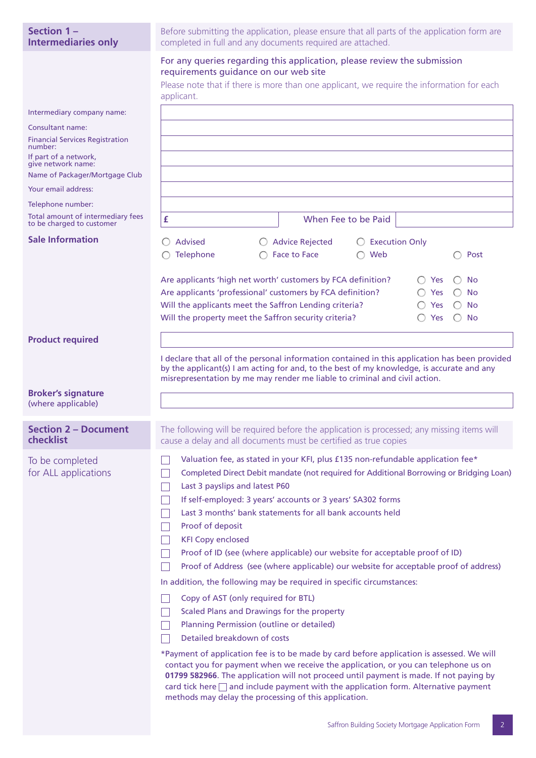| Section 1-<br><b>Intermediaries only</b>                       | Before submitting the application, please ensure that all parts of the application form are<br>completed in full and any documents required are attached.                                                                                                                                                                                                                                                                       |  |  |  |  |
|----------------------------------------------------------------|---------------------------------------------------------------------------------------------------------------------------------------------------------------------------------------------------------------------------------------------------------------------------------------------------------------------------------------------------------------------------------------------------------------------------------|--|--|--|--|
|                                                                | For any queries regarding this application, please review the submission<br>requirements guidance on our web site<br>Please note that if there is more than one applicant, we require the information for each<br>applicant.                                                                                                                                                                                                    |  |  |  |  |
| Intermediary company name:                                     |                                                                                                                                                                                                                                                                                                                                                                                                                                 |  |  |  |  |
| Consultant name:                                               |                                                                                                                                                                                                                                                                                                                                                                                                                                 |  |  |  |  |
| <b>Financial Services Registration</b>                         |                                                                                                                                                                                                                                                                                                                                                                                                                                 |  |  |  |  |
| number:<br>If part of a network,<br>give network name:         |                                                                                                                                                                                                                                                                                                                                                                                                                                 |  |  |  |  |
| Name of Packager/Mortgage Club                                 |                                                                                                                                                                                                                                                                                                                                                                                                                                 |  |  |  |  |
| Your email address:                                            |                                                                                                                                                                                                                                                                                                                                                                                                                                 |  |  |  |  |
| Telephone number:                                              |                                                                                                                                                                                                                                                                                                                                                                                                                                 |  |  |  |  |
| Total amount of intermediary fees<br>to be charged to customer | £<br>When Fee to be Paid                                                                                                                                                                                                                                                                                                                                                                                                        |  |  |  |  |
| <b>Sale Information</b>                                        | <b>Advised</b><br><b>Advice Rejected</b><br><b>Execution Only</b>                                                                                                                                                                                                                                                                                                                                                               |  |  |  |  |
|                                                                | Telephone<br>Web<br><b>Face to Face</b><br>Post                                                                                                                                                                                                                                                                                                                                                                                 |  |  |  |  |
|                                                                |                                                                                                                                                                                                                                                                                                                                                                                                                                 |  |  |  |  |
|                                                                | Are applicants 'high net worth' customers by FCA definition?<br>Yes<br>No.                                                                                                                                                                                                                                                                                                                                                      |  |  |  |  |
|                                                                | Are applicants 'professional' customers by FCA definition?<br><b>Yes</b><br>No.                                                                                                                                                                                                                                                                                                                                                 |  |  |  |  |
|                                                                | Will the applicants meet the Saffron Lending criteria?<br><b>No</b><br>Yes                                                                                                                                                                                                                                                                                                                                                      |  |  |  |  |
|                                                                | Will the property meet the Saffron security criteria?<br><b>No</b><br>Yes                                                                                                                                                                                                                                                                                                                                                       |  |  |  |  |
| <b>Product required</b>                                        |                                                                                                                                                                                                                                                                                                                                                                                                                                 |  |  |  |  |
|                                                                |                                                                                                                                                                                                                                                                                                                                                                                                                                 |  |  |  |  |
|                                                                | I declare that all of the personal information contained in this application has been provided<br>by the applicant(s) I am acting for and, to the best of my knowledge, is accurate and any<br>misrepresentation by me may render me liable to criminal and civil action.                                                                                                                                                       |  |  |  |  |
| <b>Broker's signature</b><br>(where applicable)                |                                                                                                                                                                                                                                                                                                                                                                                                                                 |  |  |  |  |
|                                                                |                                                                                                                                                                                                                                                                                                                                                                                                                                 |  |  |  |  |
| <b>Section 2 - Document</b><br>checklist                       | The following will be required before the application is processed; any missing items will<br>cause a delay and all documents must be certified as true copies                                                                                                                                                                                                                                                                  |  |  |  |  |
| To be completed                                                | Valuation fee, as stated in your KFI, plus £135 non-refundable application fee*                                                                                                                                                                                                                                                                                                                                                 |  |  |  |  |
| for ALL applications                                           | Completed Direct Debit mandate (not required for Additional Borrowing or Bridging Loan)                                                                                                                                                                                                                                                                                                                                         |  |  |  |  |
|                                                                | Last 3 payslips and latest P60                                                                                                                                                                                                                                                                                                                                                                                                  |  |  |  |  |
|                                                                | If self-employed: 3 years' accounts or 3 years' SA302 forms                                                                                                                                                                                                                                                                                                                                                                     |  |  |  |  |
|                                                                | Last 3 months' bank statements for all bank accounts held                                                                                                                                                                                                                                                                                                                                                                       |  |  |  |  |
|                                                                | Proof of deposit                                                                                                                                                                                                                                                                                                                                                                                                                |  |  |  |  |
|                                                                | <b>KFI Copy enclosed</b>                                                                                                                                                                                                                                                                                                                                                                                                        |  |  |  |  |
|                                                                | Proof of ID (see (where applicable) our website for acceptable proof of ID)                                                                                                                                                                                                                                                                                                                                                     |  |  |  |  |
|                                                                | Proof of Address (see (where applicable) our website for acceptable proof of address)                                                                                                                                                                                                                                                                                                                                           |  |  |  |  |
|                                                                | In addition, the following may be required in specific circumstances:                                                                                                                                                                                                                                                                                                                                                           |  |  |  |  |
|                                                                | Copy of AST (only required for BTL)                                                                                                                                                                                                                                                                                                                                                                                             |  |  |  |  |
|                                                                | Scaled Plans and Drawings for the property                                                                                                                                                                                                                                                                                                                                                                                      |  |  |  |  |
|                                                                | Planning Permission (outline or detailed)                                                                                                                                                                                                                                                                                                                                                                                       |  |  |  |  |
|                                                                | Detailed breakdown of costs                                                                                                                                                                                                                                                                                                                                                                                                     |  |  |  |  |
|                                                                | *Payment of application fee is to be made by card before application is assessed. We will<br>contact you for payment when we receive the application, or you can telephone us on<br>01799 582966. The application will not proceed until payment is made. If not paying by<br>card tick here $\Box$ and include payment with the application form. Alternative payment<br>methods may delay the processing of this application. |  |  |  |  |
|                                                                |                                                                                                                                                                                                                                                                                                                                                                                                                                 |  |  |  |  |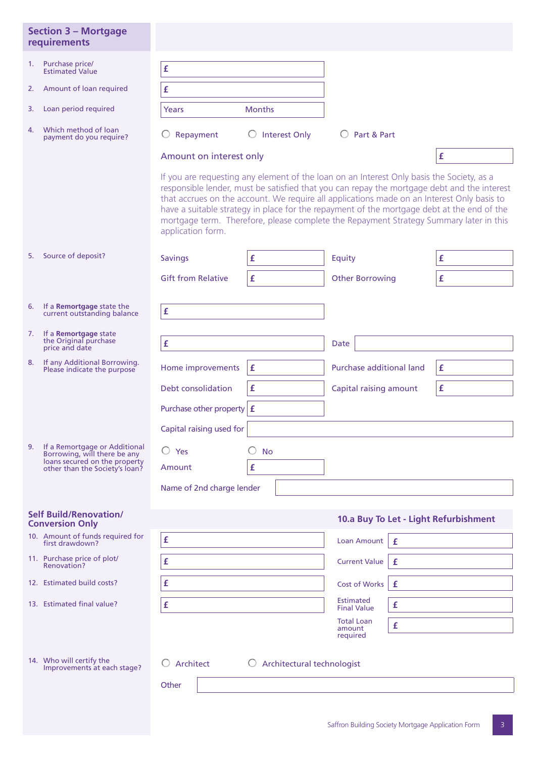|    | <b>Section 3 - Mortgage</b><br>requirements                                                     |                                                                                                                                                                                                                                                                                                                                                                                                                                                                                                     |                                        |                             |   |                                       |
|----|-------------------------------------------------------------------------------------------------|-----------------------------------------------------------------------------------------------------------------------------------------------------------------------------------------------------------------------------------------------------------------------------------------------------------------------------------------------------------------------------------------------------------------------------------------------------------------------------------------------------|----------------------------------------|-----------------------------|---|---------------------------------------|
| 1. | Purchase price/<br><b>Estimated Value</b>                                                       | £                                                                                                                                                                                                                                                                                                                                                                                                                                                                                                   |                                        |                             |   |                                       |
| 2. | Amount of loan required                                                                         | £                                                                                                                                                                                                                                                                                                                                                                                                                                                                                                   |                                        |                             |   |                                       |
| 3. | Loan period required                                                                            | Years                                                                                                                                                                                                                                                                                                                                                                                                                                                                                               | <b>Months</b>                          |                             |   |                                       |
| 4. | Which method of loan<br>payment do you require?                                                 | Repayment                                                                                                                                                                                                                                                                                                                                                                                                                                                                                           | $\bigcirc$ Interest Only               | O Part & Part               |   |                                       |
|    |                                                                                                 | Amount on interest only                                                                                                                                                                                                                                                                                                                                                                                                                                                                             |                                        |                             |   | £                                     |
|    |                                                                                                 | If you are requesting any element of the loan on an Interest Only basis the Society, as a<br>responsible lender, must be satisfied that you can repay the mortgage debt and the interest<br>that accrues on the account. We require all applications made on an Interest Only basis to<br>have a suitable strategy in place for the repayment of the mortgage debt at the end of the<br>mortgage term. Therefore, please complete the Repayment Strategy Summary later in this<br>application form. |                                        |                             |   |                                       |
|    | 5. Source of deposit?                                                                           | <b>Savings</b>                                                                                                                                                                                                                                                                                                                                                                                                                                                                                      | £                                      | Equity                      |   | £                                     |
|    |                                                                                                 | <b>Gift from Relative</b>                                                                                                                                                                                                                                                                                                                                                                                                                                                                           | £                                      | <b>Other Borrowing</b>      |   | £                                     |
|    | 6. If a Remortgage state the<br>current outstanding balance                                     | £                                                                                                                                                                                                                                                                                                                                                                                                                                                                                                   |                                        |                             |   |                                       |
| 7. | If a Remortgage state<br>the Original purchase<br>price and date                                | £                                                                                                                                                                                                                                                                                                                                                                                                                                                                                                   |                                        | Date                        |   |                                       |
| 8. | If any Additional Borrowing.<br>Please indicate the purpose                                     | Home improvements                                                                                                                                                                                                                                                                                                                                                                                                                                                                                   | £                                      | Purchase additional land    |   | £                                     |
|    |                                                                                                 | Debt consolidation                                                                                                                                                                                                                                                                                                                                                                                                                                                                                  | £                                      | Capital raising amount      |   | £                                     |
|    |                                                                                                 | Purchase other property                                                                                                                                                                                                                                                                                                                                                                                                                                                                             | £                                      |                             |   |                                       |
|    |                                                                                                 | Capital raising used for                                                                                                                                                                                                                                                                                                                                                                                                                                                                            |                                        |                             |   |                                       |
| 9. | If a Remortgage or Additional                                                                   | $\bigcirc$ Yes                                                                                                                                                                                                                                                                                                                                                                                                                                                                                      | $\bigcirc$ No                          |                             |   |                                       |
|    | Borrowing, will there be any<br>loans secured on the property<br>other than the Society's loan? | Amount                                                                                                                                                                                                                                                                                                                                                                                                                                                                                              | £                                      |                             |   |                                       |
|    |                                                                                                 | Name of 2nd charge lender                                                                                                                                                                                                                                                                                                                                                                                                                                                                           |                                        |                             |   |                                       |
|    | <b>Self Build/Renovation/</b><br><b>Conversion Only</b>                                         |                                                                                                                                                                                                                                                                                                                                                                                                                                                                                                     |                                        |                             |   | 10.a Buy To Let - Light Refurbishment |
|    | 10. Amount of funds required for<br>first drawdown?                                             | £                                                                                                                                                                                                                                                                                                                                                                                                                                                                                                   |                                        | <b>Loan Amount</b>          | £ |                                       |
|    | 11. Purchase price of plot/<br>Renovation?                                                      | £                                                                                                                                                                                                                                                                                                                                                                                                                                                                                                   |                                        | <b>Current Value</b>        | £ |                                       |
|    | 12. Estimated build costs?                                                                      | £                                                                                                                                                                                                                                                                                                                                                                                                                                                                                                   | <b>Cost of Works</b>                   | £                           |   |                                       |
|    | 13. Estimated final value?                                                                      | £                                                                                                                                                                                                                                                                                                                                                                                                                                                                                                   | <b>Estimated</b><br><b>Final Value</b> | £                           |   |                                       |
|    |                                                                                                 |                                                                                                                                                                                                                                                                                                                                                                                                                                                                                                     |                                        | <b>Total Loan</b><br>amount | £ |                                       |
|    |                                                                                                 |                                                                                                                                                                                                                                                                                                                                                                                                                                                                                                     |                                        | required                    |   |                                       |
|    | 14. Who will certify the<br>Improvements at each stage?                                         | Architect                                                                                                                                                                                                                                                                                                                                                                                                                                                                                           | Architectural technologist<br>$\cup$   |                             |   |                                       |
|    |                                                                                                 | Other                                                                                                                                                                                                                                                                                                                                                                                                                                                                                               |                                        |                             |   |                                       |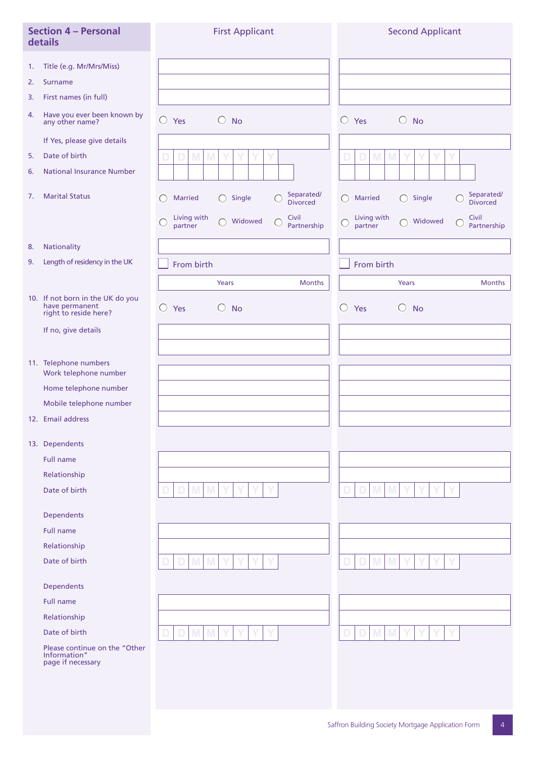|    | <b>Section 4 - Personal</b><br>details                                      | <b>First Applicant</b>                                                           | <b>Second Applicant</b>                                                                     |
|----|-----------------------------------------------------------------------------|----------------------------------------------------------------------------------|---------------------------------------------------------------------------------------------|
| 1. | Title (e.g. Mr/Mrs/Miss)                                                    |                                                                                  |                                                                                             |
| 2. | <b>Surname</b>                                                              |                                                                                  |                                                                                             |
| 3. | First names (in full)                                                       |                                                                                  |                                                                                             |
| 4. | Have you ever been known by<br>any other name?                              | $\bigcirc$ Yes<br>$\bigcirc$ No                                                  | $\bigcirc$ Yes<br>$\bigcirc$ No                                                             |
|    | If Yes, please give details                                                 |                                                                                  |                                                                                             |
| 5. | Date of birth                                                               | M<br>D<br>D                                                                      | M<br>D<br>D                                                                                 |
| 6. | <b>National Insurance Number</b>                                            |                                                                                  |                                                                                             |
| 7. | <b>Marital Status</b>                                                       | Separated/<br><b>Married</b><br>Single<br>⊖<br>O<br><b>Divorced</b>              | Separated/<br>Single<br>∩<br><b>Married</b><br>∩<br>Œ<br><b>Divorced</b>                    |
|    |                                                                             | Living with<br>Civil<br>Widowed<br>$\bigcap$<br>C<br>⊖<br>Partnership<br>partner | Civil<br>Living with<br>Widowed<br>$\bigcap$<br>$\mathsf{C}$<br>○<br>partner<br>Partnership |
| 8. | Nationality                                                                 |                                                                                  |                                                                                             |
| 9. | Length of residency in the UK                                               | From birth                                                                       | From birth                                                                                  |
|    |                                                                             | Years<br><b>Months</b>                                                           | Years<br><b>Months</b>                                                                      |
|    | 10. If not born in the UK do you<br>have permanent<br>right to reside here? | $\bigcirc$<br>Yes<br>$\bigcirc$ No                                               | $\bigcirc$<br>Yes<br>$\circ$<br><b>No</b>                                                   |
|    | If no, give details                                                         |                                                                                  |                                                                                             |
|    |                                                                             |                                                                                  |                                                                                             |
|    | 11. Telephone numbers<br>Work telephone number                              |                                                                                  |                                                                                             |
|    | Home telephone number                                                       |                                                                                  |                                                                                             |
|    | Mobile telephone number                                                     |                                                                                  |                                                                                             |
|    | 12. Email address                                                           |                                                                                  |                                                                                             |
|    | 13. Dependents                                                              |                                                                                  |                                                                                             |
|    | Full name                                                                   |                                                                                  |                                                                                             |
|    | Relationship                                                                |                                                                                  |                                                                                             |
|    | Date of birth                                                               | M                                                                                | M                                                                                           |
|    | Dependents                                                                  |                                                                                  |                                                                                             |
|    | <b>Full name</b>                                                            |                                                                                  |                                                                                             |
|    | Relationship                                                                |                                                                                  |                                                                                             |
|    | Date of birth                                                               | M                                                                                | M                                                                                           |
|    | Dependents                                                                  |                                                                                  |                                                                                             |
|    | <b>Full name</b>                                                            |                                                                                  |                                                                                             |
|    | Relationship                                                                |                                                                                  |                                                                                             |
|    | Date of birth                                                               | M                                                                                | M                                                                                           |
|    | Please continue on the "Other<br>Information"<br>page if necessary          |                                                                                  |                                                                                             |
|    |                                                                             |                                                                                  |                                                                                             |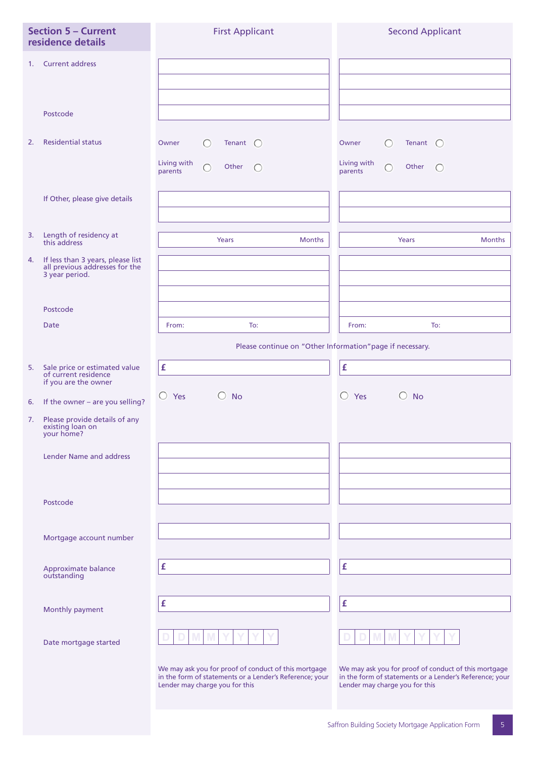|    | <b>Section 5 - Current</b><br>residence details                                                   | <b>First Applicant</b>                                                                                                                            | <b>Second Applicant</b>                                                                                                                           |
|----|---------------------------------------------------------------------------------------------------|---------------------------------------------------------------------------------------------------------------------------------------------------|---------------------------------------------------------------------------------------------------------------------------------------------------|
| 1. | <b>Current address</b>                                                                            |                                                                                                                                                   |                                                                                                                                                   |
|    | Postcode                                                                                          |                                                                                                                                                   |                                                                                                                                                   |
| 2. | <b>Residential status</b>                                                                         | $\bigcirc$<br>Tenant $\bigcirc$<br>Owner<br>Living with<br>$\bigcap$<br>Other<br>$\bigcap$<br>parents                                             | $\bigcirc$<br>Tenant $\bigcirc$<br>Owner<br>Living with<br>Other<br>$\bigcap$<br>$\bigcap$<br>parents                                             |
|    | If Other, please give details                                                                     |                                                                                                                                                   |                                                                                                                                                   |
| 3. | Length of residency at<br>this address                                                            | <b>Months</b><br>Years                                                                                                                            | <b>Months</b><br>Years                                                                                                                            |
| 4. | If less than 3 years, please list<br>all previous addresses for the<br>3 year period.<br>Postcode |                                                                                                                                                   |                                                                                                                                                   |
|    | Date                                                                                              | From:<br>To:                                                                                                                                      | To:<br>From:                                                                                                                                      |
|    |                                                                                                   | Please continue on "Other Information" page if necessary.                                                                                         |                                                                                                                                                   |
|    |                                                                                                   |                                                                                                                                                   |                                                                                                                                                   |
|    | 5. Sale price or estimated value<br>of current residence<br>if you are the owner                  | £                                                                                                                                                 | £                                                                                                                                                 |
|    | 6. If the owner - are you selling?                                                                | $\bigcirc$ Yes<br>$\left( \begin{array}{c} \end{array} \right)$<br><b>No</b>                                                                      | $\bigcirc$ Yes<br>$\bigcirc$ No                                                                                                                   |
|    | 7. Please provide details of any<br>existing loan on<br>your home?                                |                                                                                                                                                   |                                                                                                                                                   |
|    | <b>Lender Name and address</b>                                                                    |                                                                                                                                                   |                                                                                                                                                   |
|    | Postcode                                                                                          |                                                                                                                                                   |                                                                                                                                                   |
|    | Mortgage account number                                                                           |                                                                                                                                                   |                                                                                                                                                   |
|    | Approximate balance<br>outstanding                                                                | £                                                                                                                                                 | £                                                                                                                                                 |
|    | Monthly payment                                                                                   | £                                                                                                                                                 | £                                                                                                                                                 |
|    | Date mortgage started                                                                             |                                                                                                                                                   |                                                                                                                                                   |
|    |                                                                                                   | We may ask you for proof of conduct of this mortgage<br>in the form of statements or a Lender's Reference; your<br>Lender may charge you for this | We may ask you for proof of conduct of this mortgage<br>in the form of statements or a Lender's Reference; your<br>Lender may charge you for this |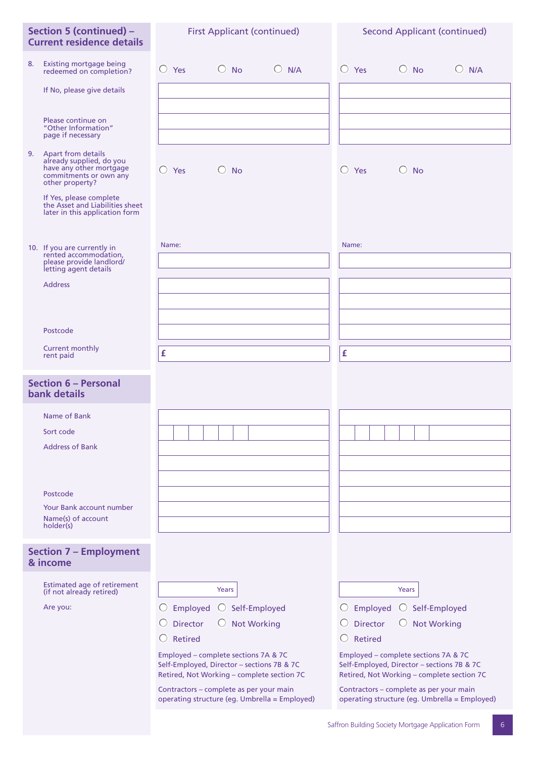| Section 5 (continued) -<br><b>Current residence details</b>                                                               | <b>First Applicant (continued)</b>                                                                                               | <b>Second Applicant (continued)</b>                                                                                              |
|---------------------------------------------------------------------------------------------------------------------------|----------------------------------------------------------------------------------------------------------------------------------|----------------------------------------------------------------------------------------------------------------------------------|
| 8.<br>Existing mortgage being<br>redeemed on completion?                                                                  | $\bigcirc$ Yes<br>$\bigcirc$ No<br>$O$ N/A                                                                                       | $\bigcirc$ Yes<br>$\bigcirc$ No<br>$O$ N/A                                                                                       |
| If No, please give details                                                                                                |                                                                                                                                  |                                                                                                                                  |
| Please continue on<br>"Other Information"<br>page if necessary                                                            |                                                                                                                                  |                                                                                                                                  |
| 9. Apart from details<br>already supplied, do you<br>have any other mortgage<br>commitments or own any<br>other property? | $\bigcirc$ Yes<br>$\bigcirc$ No                                                                                                  | $\bigcirc$ Yes<br>$\bigcirc$ No                                                                                                  |
| If Yes, please complete<br>the Asset and Liabilities sheet<br>later in this application form                              |                                                                                                                                  |                                                                                                                                  |
| 10. If you are currently in<br>rented accommodation.<br>please provide landlord/                                          | Name:                                                                                                                            | Name:                                                                                                                            |
| letting agent details<br><b>Address</b>                                                                                   |                                                                                                                                  |                                                                                                                                  |
|                                                                                                                           |                                                                                                                                  |                                                                                                                                  |
| Postcode                                                                                                                  |                                                                                                                                  |                                                                                                                                  |
| <b>Current monthly</b><br>rent paid                                                                                       | £                                                                                                                                | £                                                                                                                                |
| <b>Section 6 - Personal</b><br><b>bank details</b>                                                                        |                                                                                                                                  |                                                                                                                                  |
| Name of Bank                                                                                                              |                                                                                                                                  |                                                                                                                                  |
| Sort code<br><b>Address of Bank</b>                                                                                       |                                                                                                                                  |                                                                                                                                  |
|                                                                                                                           |                                                                                                                                  |                                                                                                                                  |
|                                                                                                                           |                                                                                                                                  |                                                                                                                                  |
| Postcode<br><b>Your Bank account number</b>                                                                               |                                                                                                                                  |                                                                                                                                  |
| Name(s) of account<br>holder(s)                                                                                           |                                                                                                                                  |                                                                                                                                  |
| <b>Section 7 - Employment</b><br>& income                                                                                 |                                                                                                                                  |                                                                                                                                  |
| Estimated age of retirement<br>(if not already retired)                                                                   | Years                                                                                                                            | Years                                                                                                                            |
| Are you:                                                                                                                  | $\bigcirc$ Self-Employed<br>Employed                                                                                             | Employed<br>$\bigcirc$ Self-Employed                                                                                             |
|                                                                                                                           | <b>Director</b><br><b>Not Working</b><br>O                                                                                       | <b>Director</b><br><b>Not Working</b><br>O                                                                                       |
|                                                                                                                           | <b>Retired</b>                                                                                                                   | Retired                                                                                                                          |
|                                                                                                                           | Employed - complete sections 7A & 7C<br>Self-Employed, Director - sections 7B & 7C<br>Retired, Not Working - complete section 7C | Employed - complete sections 7A & 7C<br>Self-Employed, Director - sections 7B & 7C<br>Retired, Not Working - complete section 7C |
|                                                                                                                           | Contractors - complete as per your main<br>operating structure (eg. Umbrella = Employed)                                         | Contractors - complete as per your main<br>operating structure (eg. Umbrella = Employed)                                         |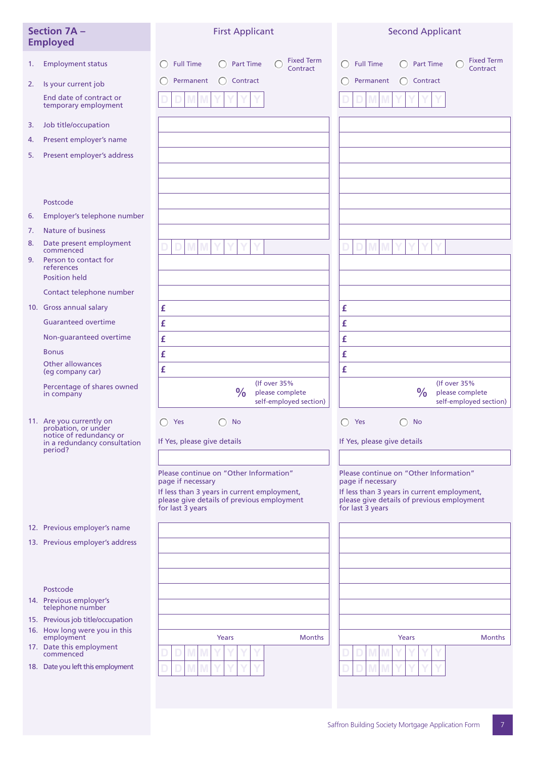|    | <b>Section 7A -</b><br><b>Employed</b>                                                                                | <b>First Applicant</b>                                                                                        | <b>Second Applicant</b>                                                                                                               |
|----|-----------------------------------------------------------------------------------------------------------------------|---------------------------------------------------------------------------------------------------------------|---------------------------------------------------------------------------------------------------------------------------------------|
| 1. | <b>Employment status</b>                                                                                              | <b>Fixed Term</b><br><b>Full Time</b><br><b>Part Time</b><br>Contract                                         | <b>Fixed Term</b><br><b>Full Time</b><br><b>Part Time</b><br>C<br>$\left(\begin{smallmatrix}1\\1\end{smallmatrix}\right)$<br>Contract |
| 2. | Is your current job                                                                                                   | Permanent<br>$\bigcap$ Contract                                                                               | Permanent<br>Contract                                                                                                                 |
|    | End date of contract or<br>temporary employment                                                                       |                                                                                                               |                                                                                                                                       |
| 3. | Job title/occupation                                                                                                  |                                                                                                               |                                                                                                                                       |
| 4. | Present employer's name                                                                                               |                                                                                                               |                                                                                                                                       |
| 5. | Present employer's address                                                                                            |                                                                                                               |                                                                                                                                       |
|    |                                                                                                                       |                                                                                                               |                                                                                                                                       |
|    | Postcode                                                                                                              |                                                                                                               |                                                                                                                                       |
| 6. | Employer's telephone number                                                                                           |                                                                                                               |                                                                                                                                       |
| 7. | <b>Nature of business</b>                                                                                             |                                                                                                               |                                                                                                                                       |
| 8. | Date present employment<br>commenced                                                                                  |                                                                                                               |                                                                                                                                       |
| 9. | Person to contact for<br>references                                                                                   |                                                                                                               |                                                                                                                                       |
|    | <b>Position held</b>                                                                                                  |                                                                                                               |                                                                                                                                       |
|    | Contact telephone number                                                                                              |                                                                                                               |                                                                                                                                       |
|    | 10. Gross annual salary<br><b>Guaranteed overtime</b>                                                                 | £                                                                                                             | £                                                                                                                                     |
|    | Non-guaranteed overtime                                                                                               | £                                                                                                             | £                                                                                                                                     |
|    | <b>Bonus</b>                                                                                                          | £                                                                                                             | £                                                                                                                                     |
|    | Other allowances                                                                                                      | £                                                                                                             | £                                                                                                                                     |
|    | (eg company car)                                                                                                      | £<br>(If over 35%                                                                                             | £<br>(If over 35%                                                                                                                     |
|    | Percentage of shares owned<br>in company                                                                              | $\frac{0}{0}$<br>please complete<br>self-employed section)                                                    | $\frac{0}{0}$<br>please complete<br>self-employed section)                                                                            |
|    | 11. Are you currently on<br>probation, or under<br>notice of redundancy or<br>in a redundancy consultation<br>period? | Yes<br><b>No</b><br>If Yes, please give details                                                               | Yes<br><b>No</b><br>If Yes, please give details                                                                                       |
|    |                                                                                                                       |                                                                                                               |                                                                                                                                       |
|    |                                                                                                                       | Please continue on "Other Information"<br>page if necessary                                                   | Please continue on "Other Information"<br>page if necessary                                                                           |
|    |                                                                                                                       | If less than 3 years in current employment,<br>please give details of previous employment<br>for last 3 years | If less than 3 years in current employment,<br>please give details of previous employment<br>for last 3 years                         |
|    | 12. Previous employer's name                                                                                          |                                                                                                               |                                                                                                                                       |
|    | 13. Previous employer's address                                                                                       |                                                                                                               |                                                                                                                                       |
|    |                                                                                                                       |                                                                                                               |                                                                                                                                       |
|    |                                                                                                                       |                                                                                                               |                                                                                                                                       |
|    | Postcode                                                                                                              |                                                                                                               |                                                                                                                                       |
|    | 14. Previous employer's<br>telephone number                                                                           |                                                                                                               |                                                                                                                                       |
|    | 15. Previous job title/occupation                                                                                     |                                                                                                               |                                                                                                                                       |
|    | 16. How long were you in this<br>employment                                                                           | <b>Months</b><br>Years                                                                                        | Years<br><b>Months</b>                                                                                                                |
|    | 17. Date this employment<br>commenced                                                                                 |                                                                                                               |                                                                                                                                       |
|    | 18. Date you left this employment                                                                                     |                                                                                                               |                                                                                                                                       |
|    |                                                                                                                       |                                                                                                               |                                                                                                                                       |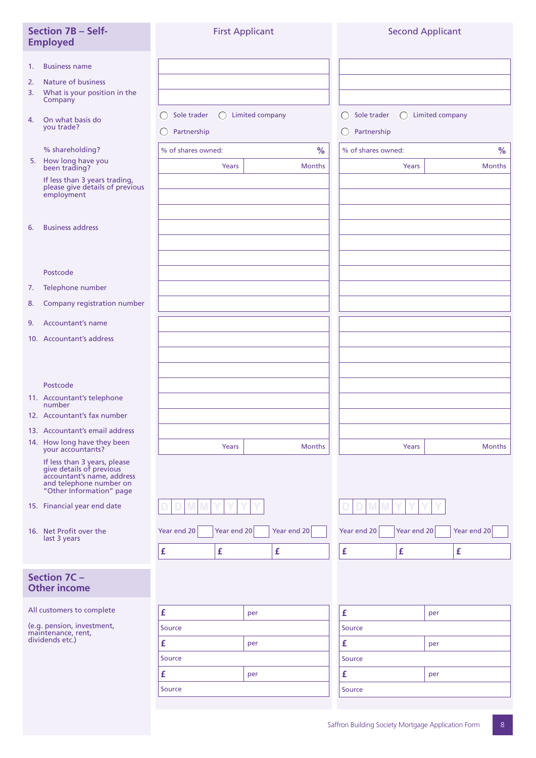| <b>Section 7B - Self-</b><br><b>Employed</b>                                                                                                  | <b>First Applicant</b>                                                             |                    |                                                                                    | <b>Second Applicant</b> |
|-----------------------------------------------------------------------------------------------------------------------------------------------|------------------------------------------------------------------------------------|--------------------|------------------------------------------------------------------------------------|-------------------------|
| <b>Business name</b><br>1.<br><b>Nature of business</b><br>2.<br>What is your position in the<br>3.<br>Company                                |                                                                                    |                    |                                                                                    |                         |
| On what basis do<br>4.<br>you trade?                                                                                                          | Sole trader<br>$\left( \begin{array}{c} \end{array} \right)$<br>C .<br>Partnership | Limited company    | Sole trader<br>$\left( \begin{array}{c} \end{array} \right)$<br>Partnership<br>( ) | <b>Limited company</b>  |
| % shareholding?                                                                                                                               | % of shares owned:                                                                 | $\%$               | % of shares owned:                                                                 | %                       |
| 5. How long have you<br>been trading?                                                                                                         | Years                                                                              | <b>Months</b>      | Years                                                                              | <b>Months</b>           |
| If less than 3 years trading,<br>please give details of previous<br>employment                                                                |                                                                                    |                    |                                                                                    |                         |
| <b>Business address</b><br>6.                                                                                                                 |                                                                                    |                    |                                                                                    |                         |
| Postcode                                                                                                                                      |                                                                                    |                    |                                                                                    |                         |
| Telephone number<br>7.                                                                                                                        |                                                                                    |                    |                                                                                    |                         |
| Company registration number<br>8.                                                                                                             |                                                                                    |                    |                                                                                    |                         |
| <b>Accountant's name</b><br>9.                                                                                                                |                                                                                    |                    |                                                                                    |                         |
| 10. Accountant's address                                                                                                                      |                                                                                    |                    |                                                                                    |                         |
|                                                                                                                                               |                                                                                    |                    |                                                                                    |                         |
| Postcode                                                                                                                                      |                                                                                    |                    |                                                                                    |                         |
| 11. Accountant's telephone<br>number<br>12. Accountant's fax number                                                                           |                                                                                    |                    |                                                                                    |                         |
| 13. Accountant's email address                                                                                                                |                                                                                    |                    |                                                                                    |                         |
| 14. How long have they been<br>your accountants?                                                                                              | Years                                                                              | <b>Months</b>      | Years                                                                              | <b>Months</b>           |
| If less than 3 years, please<br>give details of previous<br>accountant's name, address<br>and telephone number on<br>"Other Information" page |                                                                                    |                    |                                                                                    |                         |
| 15. Financial year end date                                                                                                                   |                                                                                    |                    |                                                                                    |                         |
| 16. Net Profit over the<br>last 3 years                                                                                                       | Year end 20<br>Year end 20                                                         | Year end 20        | Year end 20<br>Year end 20                                                         | Year end 20             |
|                                                                                                                                               | £<br>£                                                                             | $\pmb{\mathsf{f}}$ | £<br>$\pmb{\mathsf{f}}$                                                            | £                       |
| Section 7C -<br><b>Other income</b>                                                                                                           |                                                                                    |                    |                                                                                    |                         |
| All customers to complete                                                                                                                     | £                                                                                  | per                | £                                                                                  | per                     |
| (e.g. pension, investment,<br>maintenance, rent,                                                                                              | Source                                                                             |                    | Source                                                                             |                         |
| dividends etc.)                                                                                                                               | £                                                                                  | per                | £                                                                                  | per                     |
|                                                                                                                                               | Source                                                                             |                    | Source                                                                             |                         |
|                                                                                                                                               | £                                                                                  | per                | £                                                                                  | per                     |
|                                                                                                                                               | Source                                                                             |                    | Source                                                                             |                         |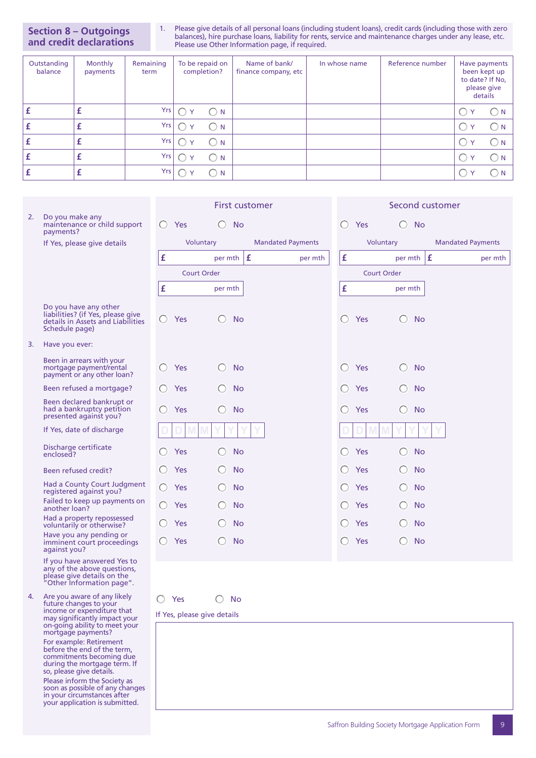**Section 8 – Outgoings and credit declarations**

in your circumstances after your application is submitted.

1. Please give details of all personal loans (including student loans), credit cards (including those with zero balances), hire purchase loans, liability for rents, service and maintenance charges under any lease, etc. Please use Other Information page, if required.

| Outstanding<br>balance | Monthly<br>payments | Remaining<br>term | To be repaid on<br>completion? | Name of bank/<br>finance company, etc | In whose name | Reference number | Have payments<br>been kept up<br>to date? If No,<br>please give<br>details |
|------------------------|---------------------|-------------------|--------------------------------|---------------------------------------|---------------|------------------|----------------------------------------------------------------------------|
|                        | £                   | Yrs               | $\bigcirc$ N                   |                                       |               |                  | ( ) N                                                                      |
|                        |                     | Yrs               | N<br>$\checkmark$              |                                       |               |                  | $\sum_{i=1}^{n}$                                                           |
|                        | £                   | Yrs               | <b>N</b>                       |                                       |               |                  | $\rightarrow$ N                                                            |
|                        |                     | Yrs               | <b>N</b>                       |                                       |               |                  | $\Box$ N                                                                   |
|                        | Î.                  | Yrs               | -N                             |                                       |               |                  | ∣N.                                                                        |

|    |                                                                                                                                                |                                                      | <b>First customer</b>                                      |                          |                                                      | Second customer                                            |                          |
|----|------------------------------------------------------------------------------------------------------------------------------------------------|------------------------------------------------------|------------------------------------------------------------|--------------------------|------------------------------------------------------|------------------------------------------------------------|--------------------------|
| 2. | Do you make any<br>maintenance or child support<br>payments?                                                                                   | Yes<br>$\left( \quad \right)$                        | <b>No</b><br>O                                             |                          | Yes<br>⊖                                             | <b>No</b>                                                  |                          |
|    | If Yes, please give details                                                                                                                    |                                                      | Voluntary                                                  | <b>Mandated Payments</b> |                                                      | Voluntary                                                  | <b>Mandated Payments</b> |
|    |                                                                                                                                                | £                                                    | per mth $ f $                                              | per mth                  | £                                                    | per mth                                                    | Ι£<br>per mth            |
|    |                                                                                                                                                |                                                      | <b>Court Order</b>                                         |                          |                                                      | <b>Court Order</b>                                         |                          |
|    |                                                                                                                                                | £                                                    | per mth                                                    |                          | £                                                    | per mth                                                    |                          |
|    | Do you have any other<br>liabilities? (if Yes, please give<br>details in Assets and Liabilities<br>Schedule page)                              | Yes                                                  | <b>No</b><br>○                                             |                          | Yes                                                  | ⊖<br>No                                                    |                          |
| 3. | Have you ever:                                                                                                                                 |                                                      |                                                            |                          |                                                      |                                                            |                          |
|    | Been in arrears with your<br>mortgage payment/rental<br>payment or any other loan?                                                             | Yes                                                  | <b>No</b>                                                  |                          | Yes                                                  | O<br>No                                                    |                          |
|    | Been refused a mortgage?                                                                                                                       | Yes                                                  | <b>No</b><br>( )                                           |                          | Yes                                                  | No                                                         |                          |
|    | Been declared bankrupt or<br>had a bankruptcy petition<br>presented against you?                                                               | Yes<br>$\left( \begin{array}{c} \end{array} \right)$ | $\left( \begin{array}{c} \end{array} \right)$<br><b>No</b> |                          | $\left( \begin{array}{c} \end{array} \right)$<br>Yes | $\left( \begin{array}{c} \end{array} \right)$<br><b>No</b> |                          |
|    | If Yes, date of discharge                                                                                                                      |                                                      |                                                            |                          |                                                      |                                                            |                          |
|    | Discharge certificate<br>enclosed?                                                                                                             | Yes                                                  | No<br>O                                                    |                          | Yes                                                  | No<br>O                                                    |                          |
|    | Been refused credit?                                                                                                                           | Yes                                                  | <b>No</b>                                                  |                          | Yes                                                  | <b>No</b>                                                  |                          |
|    | Had a County Court Judgment<br>registered against you?                                                                                         | Yes                                                  | <b>No</b>                                                  |                          | <b>Yes</b>                                           | No                                                         |                          |
|    | Failed to keep up payments on<br>another loan?                                                                                                 | Yes                                                  | <b>No</b>                                                  |                          | Yes                                                  | No                                                         |                          |
|    | Had a property repossessed<br>voluntarily or otherwise?                                                                                        | Yes                                                  | <b>No</b>                                                  |                          | Yes                                                  | No                                                         |                          |
|    | Have you any pending or<br>imminent court proceedings<br>against you?                                                                          | Yes                                                  | <b>No</b><br>O                                             |                          | Yes                                                  | ⊖<br><b>No</b>                                             |                          |
|    | If you have answered Yes to<br>any of the above questions,<br>please give details on the<br>"Other Information page".                          |                                                      |                                                            |                          |                                                      |                                                            |                          |
| 4. | Are you aware of any likely<br>future changes to your<br>income or expenditure that                                                            | Yes                                                  | <b>No</b>                                                  |                          |                                                      |                                                            |                          |
|    | may significantly impact your<br>on-going ability to meet your<br>mortgage payments?                                                           | If Yes, please give details                          |                                                            |                          |                                                      |                                                            |                          |
|    | For example: Retirement<br>before the end of the term,<br>commitments becoming due<br>during the mortgage term. If<br>so, please give details. |                                                      |                                                            |                          |                                                      |                                                            |                          |
|    | Please inform the Society as<br>soon as possible of any changes                                                                                |                                                      |                                                            |                          |                                                      |                                                            |                          |

Saffron Building Society Mortgage Application Form 9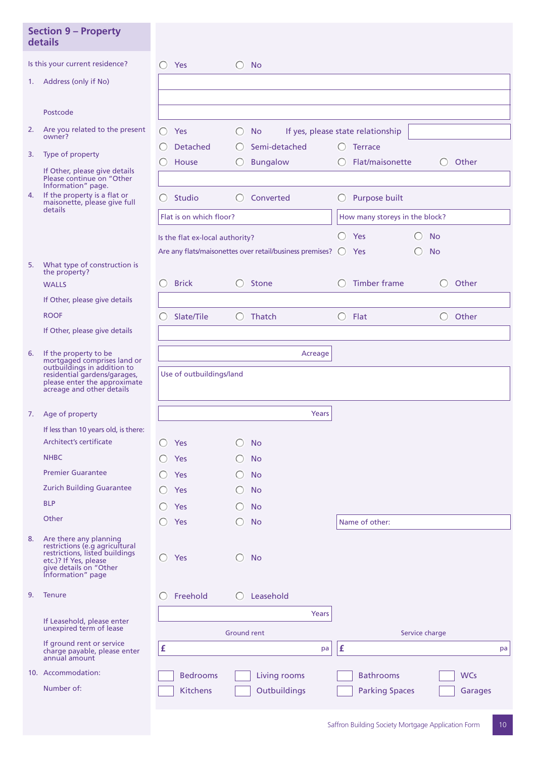|    | <b>Section 9 - Property</b><br>details                                                                                                                             |                      |                                 |                                                                         |         |                  |                                   |                                                            |            |    |
|----|--------------------------------------------------------------------------------------------------------------------------------------------------------------------|----------------------|---------------------------------|-------------------------------------------------------------------------|---------|------------------|-----------------------------------|------------------------------------------------------------|------------|----|
|    | Is this your current residence?                                                                                                                                    | ○ Yes                | $\left( \quad \right)$          | <b>No</b>                                                               |         |                  |                                   |                                                            |            |    |
| 1. | Address (only if No)                                                                                                                                               |                      |                                 |                                                                         |         |                  |                                   |                                                            |            |    |
|    |                                                                                                                                                                    |                      |                                 |                                                                         |         |                  |                                   |                                                            |            |    |
|    | Postcode                                                                                                                                                           |                      |                                 |                                                                         |         |                  |                                   |                                                            |            |    |
| 2. | Are you related to the present<br>owner?                                                                                                                           | Yes<br>$\bigcirc$    | O                               | <b>No</b>                                                               |         |                  | If yes, please state relationship |                                                            |            |    |
|    |                                                                                                                                                                    |                      | Detached<br>O                   | Semi-detached                                                           |         | O                | <b>Terrace</b>                    |                                                            |            |    |
| 3. | Type of property                                                                                                                                                   | House                | $\left( \right)$                | <b>Bungalow</b>                                                         |         | $\bigcirc$       | Flat/maisonette                   | $\bigcirc$                                                 | Other      |    |
|    | If Other, please give details<br>Please continue on "Other<br>Information" page.                                                                                   |                      |                                 |                                                                         |         |                  |                                   |                                                            |            |    |
| 4. | If the property is a flat or<br>maisonette, please give full                                                                                                       | Studio<br>$\bigcirc$ |                                 | Converted                                                               |         | O                | Purpose built                     |                                                            |            |    |
|    | details                                                                                                                                                            |                      | Flat is on which floor?         |                                                                         |         |                  | How many storeys in the block?    |                                                            |            |    |
|    |                                                                                                                                                                    |                      | Is the flat ex-local authority? |                                                                         |         |                  | $O$ Yes                           | <b>No</b><br>$\left( \begin{array}{c} \end{array} \right)$ |            |    |
|    |                                                                                                                                                                    |                      |                                 | Are any flats/maisonettes over retail/business premises? $\bigcirc$ Yes |         |                  |                                   | <b>No</b>                                                  |            |    |
| 5. | What type of construction is<br>the property?                                                                                                                      |                      |                                 |                                                                         |         |                  |                                   |                                                            |            |    |
|    | <b>WALLS</b>                                                                                                                                                       | <b>Brick</b><br>⊖    |                                 | Stone                                                                   |         | $\left( \right)$ | Timber frame                      | $\bigcirc$                                                 | Other      |    |
|    | If Other, please give details                                                                                                                                      |                      |                                 |                                                                         |         |                  |                                   |                                                            |            |    |
|    | <b>ROOF</b>                                                                                                                                                        | Slate/Tile           | $\bigcirc$                      | Thatch                                                                  |         |                  | $\bigcirc$ Flat                   | $\bigcirc$                                                 | Other      |    |
|    | If Other, please give details                                                                                                                                      |                      |                                 |                                                                         |         |                  |                                   |                                                            |            |    |
| 6. | If the property to be<br>mortgaged comprises land or<br>outbuildings in addition to                                                                                |                      |                                 |                                                                         | Acreage |                  |                                   |                                                            |            |    |
|    | residential gardens/garages,<br>please enter the approximate<br>acreage and other details                                                                          |                      | Use of outbuildings/land        |                                                                         |         |                  |                                   |                                                            |            |    |
|    | 7. Age of property                                                                                                                                                 |                      |                                 |                                                                         | Years   |                  |                                   |                                                            |            |    |
|    | If less than 10 years old, is there:                                                                                                                               |                      |                                 |                                                                         |         |                  |                                   |                                                            |            |    |
|    | <b>Architect's certificate</b>                                                                                                                                     | Yes                  |                                 | <b>No</b>                                                               |         |                  |                                   |                                                            |            |    |
|    | <b>NHBC</b>                                                                                                                                                        | Yes                  |                                 | <b>No</b>                                                               |         |                  |                                   |                                                            |            |    |
|    | <b>Premier Guarantee</b>                                                                                                                                           | Yes                  |                                 | <b>No</b>                                                               |         |                  |                                   |                                                            |            |    |
|    | <b>Zurich Building Guarantee</b>                                                                                                                                   | Yes                  |                                 | <b>No</b>                                                               |         |                  |                                   |                                                            |            |    |
|    | <b>BLP</b>                                                                                                                                                         | Yes                  |                                 | <b>No</b>                                                               |         |                  |                                   |                                                            |            |    |
|    | Other                                                                                                                                                              | Yes                  |                                 | <b>No</b>                                                               |         |                  | Name of other:                    |                                                            |            |    |
| 8. | Are there any planning<br>restrictions (e.g agricultural<br>restrictions, listed buildings<br>etc.)? If Yes, please<br>give details on "Other<br>Information" page | Yes<br>$\bigcirc$    |                                 | <b>No</b>                                                               |         |                  |                                   |                                                            |            |    |
| 9. | <b>Tenure</b>                                                                                                                                                      | Freehold<br>O        |                                 | Leasehold                                                               |         |                  |                                   |                                                            |            |    |
|    |                                                                                                                                                                    |                      |                                 |                                                                         | Years   |                  |                                   |                                                            |            |    |
|    | If Leasehold, please enter<br>unexpired term of lease                                                                                                              |                      |                                 | <b>Ground rent</b>                                                      |         |                  |                                   | Service charge                                             |            |    |
|    | If ground rent or service<br>charge payable, please enter<br>annual amount                                                                                         | £                    |                                 |                                                                         | pa      | £                |                                   |                                                            |            | pa |
|    | 10. Accommodation:                                                                                                                                                 |                      | <b>Bedrooms</b>                 | <b>Living rooms</b>                                                     |         |                  | <b>Bathrooms</b>                  |                                                            | <b>WCs</b> |    |
|    | Number of:                                                                                                                                                         |                      | <b>Kitchens</b>                 | Outbuildings                                                            |         |                  | <b>Parking Spaces</b>             |                                                            | Garages    |    |
|    |                                                                                                                                                                    |                      |                                 |                                                                         |         |                  |                                   |                                                            |            |    |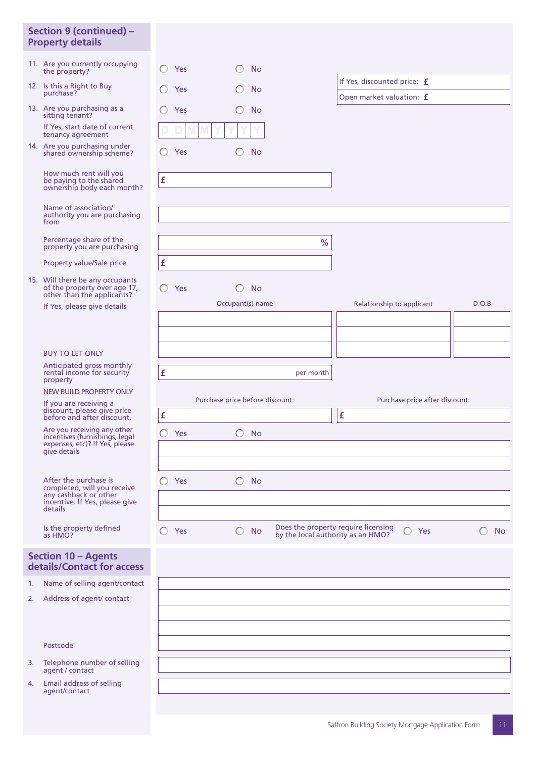## **Section 9 (continued) – Property details**

- 11. Are you currently occupying the property?
- 12. Is this a Right to Buy purchase?
- 13. Are you purchasing as a sitting tenant? If Yes, start date of current tenancy agreement
- 14. Are you purchasing under shared ownership scheme?

 How much rent will you be paying to the shared ownership body each month?

 Name of association/ authority you are purchasing from

 Percentage share of the property you are purchasing

Property value/Sale price

15. Will there be any occupants of the property over age 17, other than the applicants?

If Yes, please give details

## BUY TO LET ONLY

 Anticipated gross monthly rental income for security property

NEW BUILD PROPERTY ONLY

 If you are receiving a discount, please give price before and after discount.

 Are you receiving any other incentives (furnishings, legal expenses, etc)? If Yes, please give details

 After the purchase is completed, will you receive any cashback or other incentive. If Yes, please give details

> Is the property defined as HMO?

## **Section 10 – Agents details/Contact for access**

1. Name of selling agent/contact

2. Address of agent/ contact

### Postcode

- 3. Telephone number of selling agent / contact
- 4. Email address of selling agent/contact

|        | Yes                          | <b>No</b>                       |
|--------|------------------------------|---------------------------------|
|        | Yes                          | <b>No</b>                       |
|        |                              |                                 |
|        | Yes                          | <b>No</b>                       |
| $\Box$ | M<br>$4 M^4$<br>$\mathbf{D}$ | $\vee$<br>$\vee$<br>$\vee$<br>Y |
|        | Yes                          | <b>No</b>                       |
|        |                              |                                 |
| £      |                              |                                 |



| c<br>per month |  |
|----------------|--|

|     | Purchase price before discount: |                                                                          | Purchase price after discount: |
|-----|---------------------------------|--------------------------------------------------------------------------|--------------------------------|
| £   |                                 | £                                                                        |                                |
| Yes | <b>No</b>                       |                                                                          |                                |
|     |                                 |                                                                          |                                |
|     |                                 |                                                                          |                                |
| Yes | <b>No</b>                       |                                                                          |                                |
|     |                                 |                                                                          |                                |
|     |                                 |                                                                          |                                |
| Yes | <b>No</b>                       | Does the property require licensing<br>by the local authority as an HMO? | Yes<br>No                      |

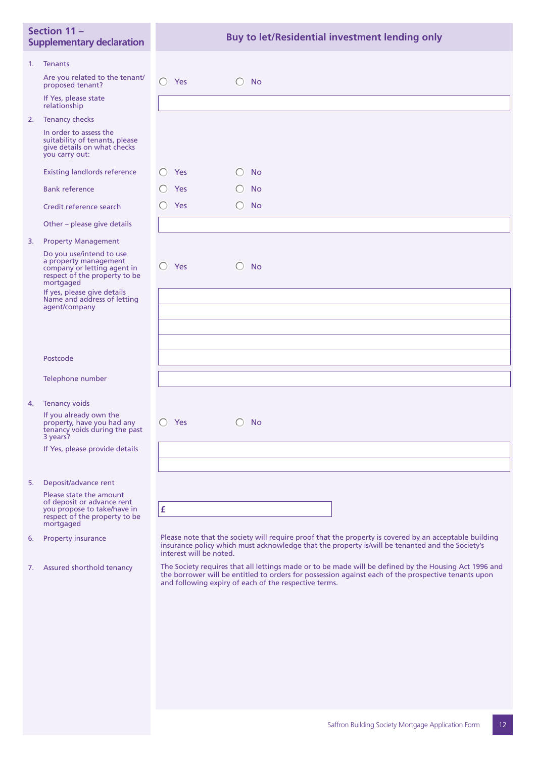| Section 11-<br><b>Supplementary declaration</b> |                                                                                                                                                               | Buy to let/Residential investment lending only                                                                                                                                                                                                                        |
|-------------------------------------------------|---------------------------------------------------------------------------------------------------------------------------------------------------------------|-----------------------------------------------------------------------------------------------------------------------------------------------------------------------------------------------------------------------------------------------------------------------|
| 1.                                              | <b>Tenants</b>                                                                                                                                                |                                                                                                                                                                                                                                                                       |
|                                                 | Are you related to the tenant/<br>proposed tenant?                                                                                                            | Yes<br><b>No</b><br>$\left( \begin{array}{c} \end{array} \right)$<br>( )                                                                                                                                                                                              |
|                                                 | If Yes, please state<br>relationship                                                                                                                          |                                                                                                                                                                                                                                                                       |
|                                                 | 2. Tenancy checks                                                                                                                                             |                                                                                                                                                                                                                                                                       |
|                                                 | In order to assess the<br>suitability of tenants, please<br>give details on what checks<br>you carry out:                                                     |                                                                                                                                                                                                                                                                       |
|                                                 | <b>Existing landlords reference</b>                                                                                                                           | Yes<br><b>No</b>                                                                                                                                                                                                                                                      |
|                                                 | <b>Bank reference</b>                                                                                                                                         | Yes<br><b>No</b>                                                                                                                                                                                                                                                      |
|                                                 | Credit reference search                                                                                                                                       | Yes<br><b>No</b>                                                                                                                                                                                                                                                      |
|                                                 | Other – please give details                                                                                                                                   |                                                                                                                                                                                                                                                                       |
| 3.                                              | <b>Property Management</b>                                                                                                                                    |                                                                                                                                                                                                                                                                       |
|                                                 | Do you use/intend to use<br>a property management<br>company or letting agent in<br>respect of the property to be<br>mortgaged<br>If yes, please give details | $\bigcirc$<br>Yes<br>$\bigcirc$<br><b>No</b>                                                                                                                                                                                                                          |
|                                                 | Name and address of letting<br>agent/company                                                                                                                  |                                                                                                                                                                                                                                                                       |
|                                                 |                                                                                                                                                               |                                                                                                                                                                                                                                                                       |
|                                                 |                                                                                                                                                               |                                                                                                                                                                                                                                                                       |
|                                                 | Postcode                                                                                                                                                      |                                                                                                                                                                                                                                                                       |
|                                                 |                                                                                                                                                               |                                                                                                                                                                                                                                                                       |
|                                                 | Telephone number                                                                                                                                              |                                                                                                                                                                                                                                                                       |
| 4.                                              | <b>Tenancy voids</b>                                                                                                                                          |                                                                                                                                                                                                                                                                       |
|                                                 | If you already own the<br>property, have you had any<br>tenancy voids during the past<br>3 years?                                                             | Yes<br><b>No</b><br>$\left( \begin{array}{c} \end{array} \right)$                                                                                                                                                                                                     |
|                                                 | If Yes, please provide details                                                                                                                                |                                                                                                                                                                                                                                                                       |
|                                                 |                                                                                                                                                               |                                                                                                                                                                                                                                                                       |
| 5.                                              | Deposit/advance rent                                                                                                                                          |                                                                                                                                                                                                                                                                       |
|                                                 | Please state the amount<br>of deposit or advance rent<br>you propose to take/have in<br>respect of the property to be<br>mortgaged                            | £                                                                                                                                                                                                                                                                     |
| 6.                                              | <b>Property insurance</b>                                                                                                                                     | Please note that the society will require proof that the property is covered by an acceptable building<br>insurance policy which must acknowledge that the property is/will be tenanted and the Society's<br>interest will be noted.                                  |
| 7.                                              | Assured shorthold tenancy                                                                                                                                     | The Society requires that all lettings made or to be made will be defined by the Housing Act 1996 and<br>the borrower will be entitled to orders for possession against each of the prospective tenants upon<br>and following expiry of each of the respective terms. |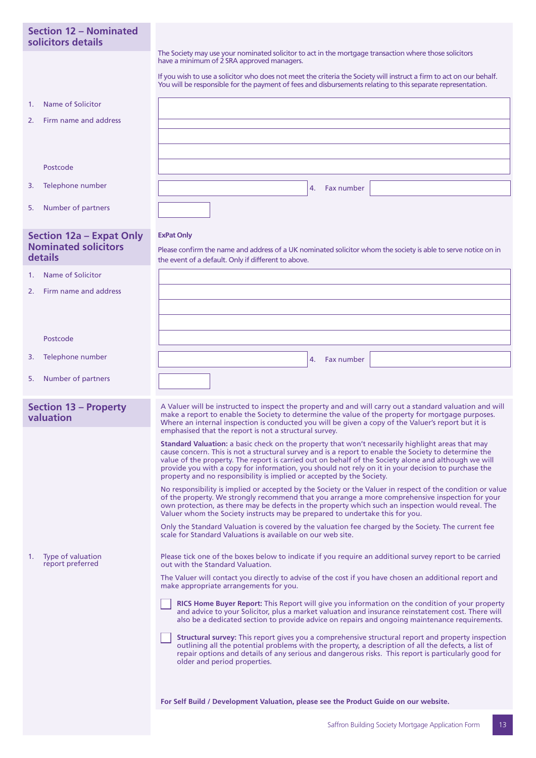## **Section 12 – Nominated solicitors details**

The Society may use your nominated solicitor to act in the mortgage transaction where those solicitors have a minimum of 2 SRA approved managers.

If you wish to use a solicitor who does not meet the criteria the Society will instruct a firm to act on our behalf. You will be responsible for the payment of fees and disbursements relating to this separate representation.

Please confirm the name and address of a UK nominated solicitor whom the society is able to serve notice on in

4. Fax number

- 1. Name of Solicitor
- 2. Firm name and address

Postcode

- 3. Telephone number
- 5. Number of partners

## **Section 12a – Expat Only Nominated solicitors details**

**ExPat Only**

the event of a default. Only if different to above.

- 1. Name of Solicitor
- 2. Firm name and address

| Postcode                                    |                                                                                                                                                                                                                                                                                                                                                                                                                                                                                                           |
|---------------------------------------------|-----------------------------------------------------------------------------------------------------------------------------------------------------------------------------------------------------------------------------------------------------------------------------------------------------------------------------------------------------------------------------------------------------------------------------------------------------------------------------------------------------------|
| Telephone number<br>3.                      | Fax number<br>4.                                                                                                                                                                                                                                                                                                                                                                                                                                                                                          |
| Number of partners<br>5.                    |                                                                                                                                                                                                                                                                                                                                                                                                                                                                                                           |
| <b>Section 13 - Property</b><br>valuation   | A Valuer will be instructed to inspect the property and and will carry out a standard valuation and will<br>make a report to enable the Society to determine the value of the property for mortgage purposes.<br>Where an internal inspection is conducted you will be given a copy of the Valuer's report but it is<br>emphasised that the report is not a structural survey.                                                                                                                            |
|                                             | <b>Standard Valuation:</b> a basic check on the property that won't necessarily highlight areas that may<br>cause concern. This is not a structural survey and is a report to enable the Society to determine the<br>value of the property. The report is carried out on behalf of the Society alone and although we will<br>provide you with a copy for information, you should not rely on it in your decision to purchase the<br>property and no responsibility is implied or accepted by the Society. |
|                                             | No responsibility is implied or accepted by the Society or the Valuer in respect of the condition or value<br>of the property. We strongly recommend that you arrange a more comprehensive inspection for your<br>own protection, as there may be defects in the property which such an inspection would reveal. The<br>Valuer whom the Society instructs may be prepared to undertake this for you.                                                                                                      |
|                                             | Only the Standard Valuation is covered by the valuation fee charged by the Society. The current fee<br>scale for Standard Valuations is available on our web site.                                                                                                                                                                                                                                                                                                                                        |
| Type of valuation<br>1.<br>report preferred | Please tick one of the boxes below to indicate if you require an additional survey report to be carried<br>out with the Standard Valuation.                                                                                                                                                                                                                                                                                                                                                               |
|                                             | The Valuer will contact you directly to advise of the cost if you have chosen an additional report and<br>make appropriate arrangements for you.                                                                                                                                                                                                                                                                                                                                                          |
|                                             | RICS Home Buyer Report: This Report will give you information on the condition of your property<br>and advice to your Solicitor, plus a market valuation and insurance reinstatement cost. There will<br>also be a dedicated section to provide advice on repairs and ongoing maintenance requirements.                                                                                                                                                                                                   |
|                                             | Structural survey: This report gives you a comprehensive structural report and property inspection<br>outlining all the potential problems with the property, a description of all the defects, a list of<br>repair options and details of any serious and dangerous risks. This report is particularly good for                                                                                                                                                                                          |

older and period properties.

**For Self Build / Development Valuation, please see the Product Guide on our website.**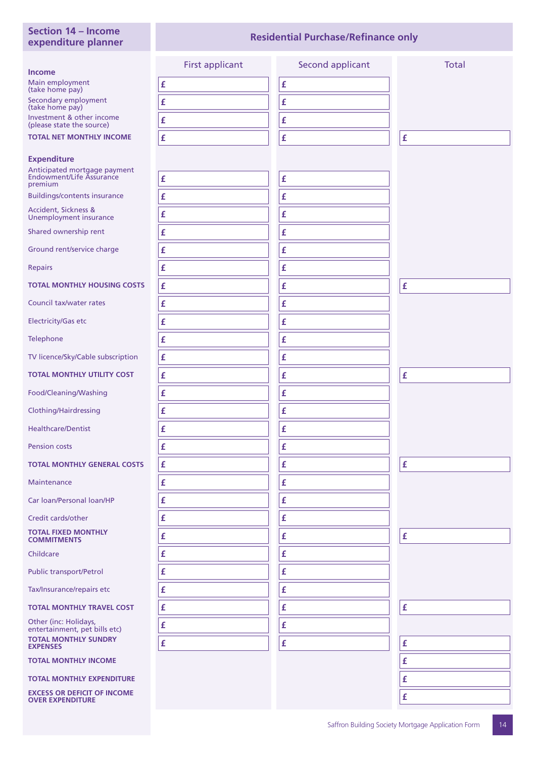## **Section 14 – Income expenditure planner**

## **Residential Purchase/Refinance only**

|                                                                     | <b>First applicant</b> | Second applicant | <b>Total</b>       |
|---------------------------------------------------------------------|------------------------|------------------|--------------------|
| <b>Income</b><br>Main employment                                    | £                      | £                |                    |
| (take home pay)<br>Secondary employment                             | £                      | £                |                    |
| (take home pay)<br>Investment & other income                        | $\pmb{\mathsf{f}}$     | £                |                    |
| (please state the source)                                           |                        |                  |                    |
| <b>TOTAL NET MONTHLY INCOME</b>                                     | £                      | £                | £                  |
| <b>Expenditure</b>                                                  |                        |                  |                    |
| Anticipated mortgage payment<br>Endowment/Life Assurance<br>premium | £                      | £                |                    |
| <b>Buildings/contents insurance</b>                                 | $\pmb{\mathsf{f}}$     | £                |                    |
| Accident, Sickness &<br>Unemployment insurance                      | £                      | £                |                    |
| Shared ownership rent                                               | £                      | £                |                    |
| Ground rent/service charge                                          | £                      | £                |                    |
| <b>Repairs</b>                                                      | £                      | £                |                    |
| <b>TOTAL MONTHLY HOUSING COSTS</b>                                  | £                      | £                | £                  |
| Council tax/water rates                                             | $\pmb{\mathsf{f}}$     | £                |                    |
| <b>Electricity/Gas etc</b>                                          | £                      | £                |                    |
| Telephone                                                           | £                      | £                |                    |
| TV licence/Sky/Cable subscription                                   | $\pmb{\mathsf{f}}$     | £                |                    |
| <b>TOTAL MONTHLY UTILITY COST</b>                                   | £                      | £                | £                  |
| Food/Cleaning/Washing                                               | $\pmb{\mathsf{f}}$     | £                |                    |
| Clothing/Hairdressing                                               | $\pmb{\mathsf{f}}$     | £                |                    |
| <b>Healthcare/Dentist</b>                                           | £                      | £                |                    |
| <b>Pension costs</b>                                                | £                      | £                |                    |
| <b>TOTAL MONTHLY GENERAL COSTS</b>                                  | £                      | £                | £                  |
| Maintenance                                                         | £                      | £                |                    |
| Car loan/Personal loan/HP                                           | £                      | £                |                    |
| Credit cards/other                                                  | £                      | £                |                    |
| <b>TOTAL FIXED MONTHLY</b><br><b>COMMITMENTS</b>                    | £                      | £                | $\pmb{\mathsf{f}}$ |
| Childcare                                                           | £                      | £                |                    |
| <b>Public transport/Petrol</b>                                      | £                      | £                |                    |
| Tax/Insurance/repairs etc                                           | £                      | £                |                    |
| <b>TOTAL MONTHLY TRAVEL COST</b>                                    | £                      | £                | £                  |
| Other (inc: Holidays,<br>entertainment, pet bills etc)              | $\pmb{\mathsf{f}}$     | £                |                    |
| <b>TOTAL MONTHLY SUNDRY</b><br><b>EXPENSES</b>                      | £                      | £                | £                  |
| <b>TOTAL MONTHLY INCOME</b>                                         |                        |                  | £                  |
| <b>TOTAL MONTHLY EXPENDITURE</b>                                    |                        |                  | £                  |
| <b>EXCESS OR DEFICIT OF INCOME</b><br><b>OVER EXPENDITURE</b>       |                        |                  | £                  |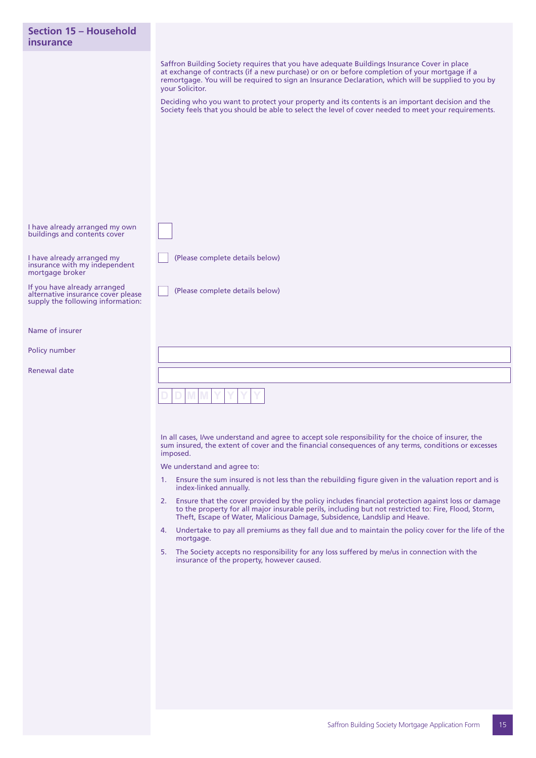| Section 15 - Household<br>insurance                                                                     |                                                                                                                                                                                                                                                                                                                                                                                                                                                                                                                                                                                                                                                                                                                                                                                                                                                                                                                                                                      |
|---------------------------------------------------------------------------------------------------------|----------------------------------------------------------------------------------------------------------------------------------------------------------------------------------------------------------------------------------------------------------------------------------------------------------------------------------------------------------------------------------------------------------------------------------------------------------------------------------------------------------------------------------------------------------------------------------------------------------------------------------------------------------------------------------------------------------------------------------------------------------------------------------------------------------------------------------------------------------------------------------------------------------------------------------------------------------------------|
|                                                                                                         | Saffron Building Society requires that you have adequate Buildings Insurance Cover in place<br>at exchange of contracts (if a new purchase) or on or before completion of your mortgage if a<br>remortgage. You will be required to sign an Insurance Declaration, which will be supplied to you by<br>your Solicitor.<br>Deciding who you want to protect your property and its contents is an important decision and the<br>Society feels that you should be able to select the level of cover needed to meet your requirements.                                                                                                                                                                                                                                                                                                                                                                                                                                   |
| I have already arranged my own<br>buildings and contents cover                                          |                                                                                                                                                                                                                                                                                                                                                                                                                                                                                                                                                                                                                                                                                                                                                                                                                                                                                                                                                                      |
| I have already arranged my<br>insurance with my independent<br>mortgage broker                          | (Please complete details below)                                                                                                                                                                                                                                                                                                                                                                                                                                                                                                                                                                                                                                                                                                                                                                                                                                                                                                                                      |
| If you have already arranged<br>alternative insurance cover please<br>supply the following information: | (Please complete details below)                                                                                                                                                                                                                                                                                                                                                                                                                                                                                                                                                                                                                                                                                                                                                                                                                                                                                                                                      |
| Name of insurer                                                                                         |                                                                                                                                                                                                                                                                                                                                                                                                                                                                                                                                                                                                                                                                                                                                                                                                                                                                                                                                                                      |
| Policy number                                                                                           |                                                                                                                                                                                                                                                                                                                                                                                                                                                                                                                                                                                                                                                                                                                                                                                                                                                                                                                                                                      |
| Renewal date                                                                                            |                                                                                                                                                                                                                                                                                                                                                                                                                                                                                                                                                                                                                                                                                                                                                                                                                                                                                                                                                                      |
|                                                                                                         |                                                                                                                                                                                                                                                                                                                                                                                                                                                                                                                                                                                                                                                                                                                                                                                                                                                                                                                                                                      |
|                                                                                                         | In all cases, I/we understand and agree to accept sole responsibility for the choice of insurer, the<br>sum insured, the extent of cover and the financial consequences of any terms, conditions or excesses<br>imposed.<br>We understand and agree to:<br>Ensure the sum insured is not less than the rebuilding figure given in the valuation report and is<br>1.<br>index-linked annually.<br>2. Ensure that the cover provided by the policy includes financial protection against loss or damage<br>to the property for all major insurable perils, including but not restricted to: Fire, Flood, Storm,<br>Theft, Escape of Water, Malicious Damage, Subsidence, Landslip and Heave.<br>4. Undertake to pay all premiums as they fall due and to maintain the policy cover for the life of the<br>mortgage.<br>The Society accepts no responsibility for any loss suffered by me/us in connection with the<br>5.<br>insurance of the property, however caused. |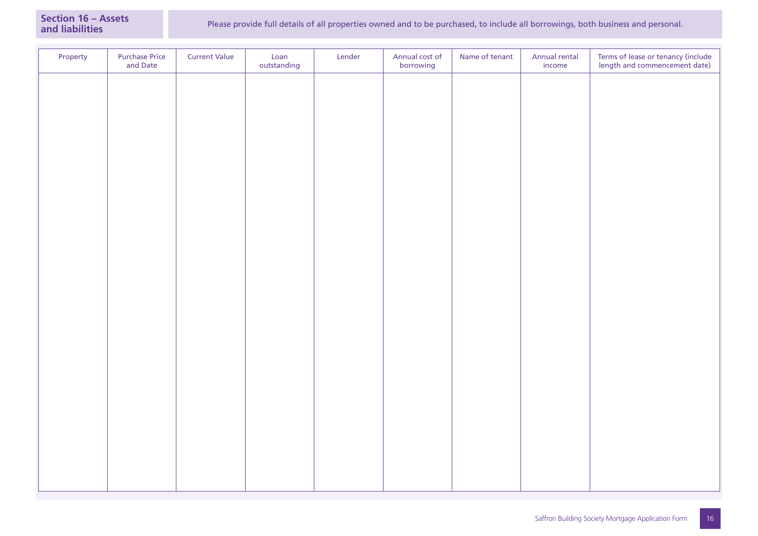| Property | <b>Purchase Price</b><br>and Date | <b>Current Value</b> | Loan<br>outstanding | Lender | Annual cost of<br>borrowing | Name of tenant | Annual rental<br>$\mathop{\mathsf{income}}$ | Terms of lease or tenancy (include<br>length and commencement date) |
|----------|-----------------------------------|----------------------|---------------------|--------|-----------------------------|----------------|---------------------------------------------|---------------------------------------------------------------------|
|          |                                   |                      |                     |        |                             |                |                                             |                                                                     |
|          |                                   |                      |                     |        |                             |                |                                             |                                                                     |
|          |                                   |                      |                     |        |                             |                |                                             |                                                                     |
|          |                                   |                      |                     |        |                             |                |                                             |                                                                     |
|          |                                   |                      |                     |        |                             |                |                                             |                                                                     |
|          |                                   |                      |                     |        |                             |                |                                             |                                                                     |
|          |                                   |                      |                     |        |                             |                |                                             |                                                                     |
|          |                                   |                      |                     |        |                             |                |                                             |                                                                     |
|          |                                   |                      |                     |        |                             |                |                                             |                                                                     |
|          |                                   |                      |                     |        |                             |                |                                             |                                                                     |
|          |                                   |                      |                     |        |                             |                |                                             |                                                                     |
|          |                                   |                      |                     |        |                             |                |                                             |                                                                     |
|          |                                   |                      |                     |        |                             |                |                                             |                                                                     |
|          |                                   |                      |                     |        |                             |                |                                             |                                                                     |
|          |                                   |                      |                     |        |                             |                |                                             |                                                                     |
|          |                                   |                      |                     |        |                             |                |                                             |                                                                     |
|          |                                   |                      |                     |        |                             |                |                                             |                                                                     |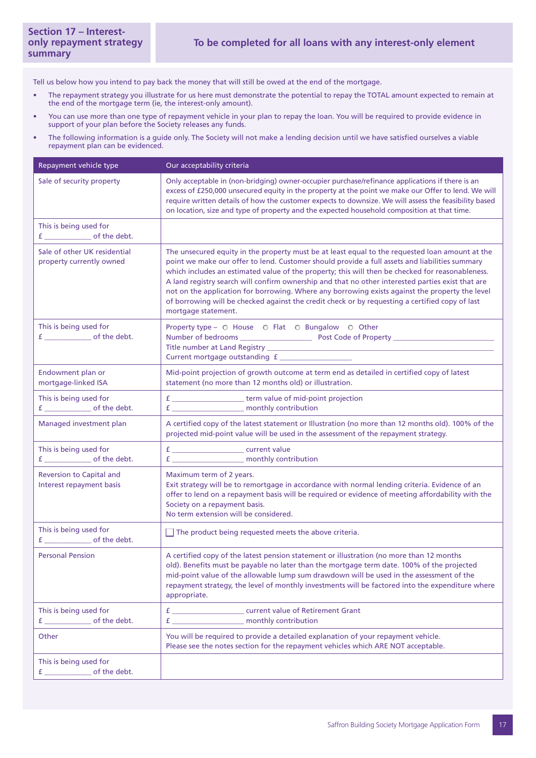Tell us below how you intend to pay back the money that will still be owed at the end of the mortgage.

- The repayment strategy you illustrate for us here must demonstrate the potential to repay the TOTAL amount expected to remain at the end of the mortgage term (ie, the interest-only amount).
- You can use more than one type of repayment vehicle in your plan to repay the loan. You will be required to provide evidence in support of your plan before the Society releases any funds.
- The following information is a guide only. The Society will not make a lending decision until we have satisfied ourselves a viable repayment plan can be evidenced.

| Repayment vehicle type                                   | Our acceptability criteria                                                                                                                                                                                                                                                                                                                                                                                                                                                                                                                                                                                                              |  |  |  |
|----------------------------------------------------------|-----------------------------------------------------------------------------------------------------------------------------------------------------------------------------------------------------------------------------------------------------------------------------------------------------------------------------------------------------------------------------------------------------------------------------------------------------------------------------------------------------------------------------------------------------------------------------------------------------------------------------------------|--|--|--|
| Sale of security property                                | Only acceptable in (non-bridging) owner-occupier purchase/refinance applications if there is an<br>excess of £250,000 unsecured equity in the property at the point we make our Offer to lend. We will<br>require written details of how the customer expects to downsize. We will assess the feasibility based<br>on location, size and type of property and the expected household composition at that time.                                                                                                                                                                                                                          |  |  |  |
| This is being used for                                   |                                                                                                                                                                                                                                                                                                                                                                                                                                                                                                                                                                                                                                         |  |  |  |
| Sale of other UK residential<br>property currently owned | The unsecured equity in the property must be at least equal to the requested loan amount at the<br>point we make our offer to lend. Customer should provide a full assets and liabilities summary<br>which includes an estimated value of the property; this will then be checked for reasonableness.<br>A land registry search will confirm ownership and that no other interested parties exist that are<br>not on the application for borrowing. Where any borrowing exists against the property the level<br>of borrowing will be checked against the credit check or by requesting a certified copy of last<br>mortgage statement. |  |  |  |
| This is being used for                                   | Property type - O House O Flat O Bungalow O Other<br>Current mortgage outstanding f __________________                                                                                                                                                                                                                                                                                                                                                                                                                                                                                                                                  |  |  |  |
| Endowment plan or<br>mortgage-linked ISA                 | Mid-point projection of growth outcome at term end as detailed in certified copy of latest<br>statement (no more than 12 months old) or illustration.                                                                                                                                                                                                                                                                                                                                                                                                                                                                                   |  |  |  |
| This is being used for                                   | f ________________________term value of mid-point projection<br>f _______________________ monthly contribution                                                                                                                                                                                                                                                                                                                                                                                                                                                                                                                          |  |  |  |
| Managed investment plan                                  | A certified copy of the latest statement or Illustration (no more than 12 months old). 100% of the<br>projected mid-point value will be used in the assessment of the repayment strategy.                                                                                                                                                                                                                                                                                                                                                                                                                                               |  |  |  |
| This is being used for                                   | f _______________________ monthly contribution                                                                                                                                                                                                                                                                                                                                                                                                                                                                                                                                                                                          |  |  |  |
| Reversion to Capital and<br>Interest repayment basis     | Maximum term of 2 years.<br>Exit strategy will be to remortgage in accordance with normal lending criteria. Evidence of an<br>offer to lend on a repayment basis will be required or evidence of meeting affordability with the<br>Society on a repayment basis.<br>No term extension will be considered.                                                                                                                                                                                                                                                                                                                               |  |  |  |
| This is being used for                                   | $\Box$ The product being requested meets the above criteria.                                                                                                                                                                                                                                                                                                                                                                                                                                                                                                                                                                            |  |  |  |
| <b>Personal Pension</b>                                  | A certified copy of the latest pension statement or illustration (no more than 12 months<br>old). Benefits must be payable no later than the mortgage term date. 100% of the projected<br>mid-point value of the allowable lump sum drawdown will be used in the assessment of the<br>repayment strategy, the level of monthly investments will be factored into the expenditure where<br>appropriate.                                                                                                                                                                                                                                  |  |  |  |
| This is being used for                                   | f _________________________ current value of Retirement Grant<br>f _______________________ monthly contribution                                                                                                                                                                                                                                                                                                                                                                                                                                                                                                                         |  |  |  |
| Other                                                    | You will be required to provide a detailed explanation of your repayment vehicle.<br>Please see the notes section for the repayment vehicles which ARE NOT acceptable.                                                                                                                                                                                                                                                                                                                                                                                                                                                                  |  |  |  |
| This is being used for                                   |                                                                                                                                                                                                                                                                                                                                                                                                                                                                                                                                                                                                                                         |  |  |  |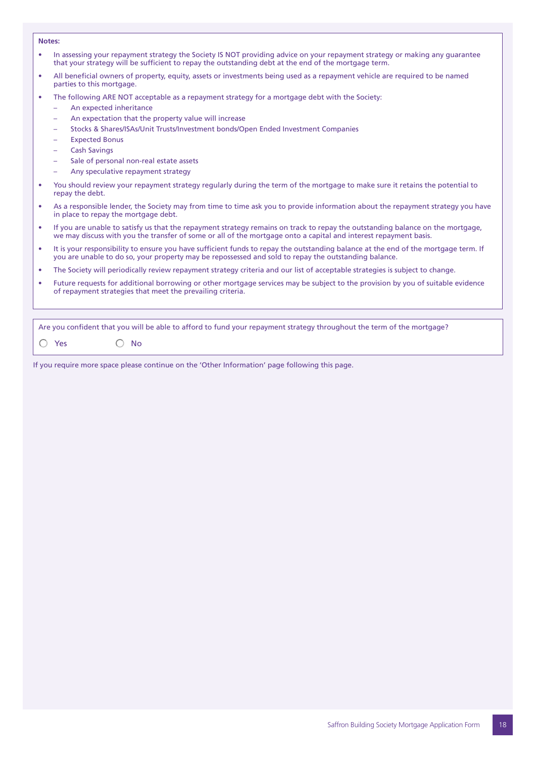#### **Notes:**

- In assessing your repayment strategy the Society IS NOT providing advice on your repayment strategy or making any guarantee that your strategy will be sufficient to repay the outstanding debt at the end of the mortgage term.
- All beneficial owners of property, equity, assets or investments being used as a repayment vehicle are required to be named parties to this mortgage.
- The following ARE NOT acceptable as a repayment strategy for a mortgage debt with the Society:
	- An expected inheritance
	- An expectation that the property value will increase
	- Stocks & Shares/ISAs/Unit Trusts/Investment bonds/Open Ended Investment Companies
	- Expected Bonus
	- Cash Savings
	- Sale of personal non-real estate assets
	- Any speculative repayment strategy
- You should review your repayment strategy regularly during the term of the mortgage to make sure it retains the potential to repay the debt.
- As a responsible lender, the Society may from time to time ask you to provide information about the repayment strategy you have in place to repay the mortgage debt.
- If you are unable to satisfy us that the repayment strategy remains on track to repay the outstanding balance on the mortgage, we may discuss with you the transfer of some or all of the mortgage onto a capital and interest repayment basis.
- It is your responsibility to ensure you have sufficient funds to repay the outstanding balance at the end of the mortgage term. If you are unable to do so, your property may be repossessed and sold to repay the outstanding balance.
- The Society will periodically review repayment strategy criteria and our list of acceptable strategies is subject to change.
- Future requests for additional borrowing or other mortgage services may be subject to the provision by you of suitable evidence of repayment strategies that meet the prevailing criteria.

Are you confident that you will be able to afford to fund your repayment strategy throughout the term of the mortgage?

 $\bigcap$  Yes  $\bigcap$  No

If you require more space please continue on the 'Other Information' page following this page.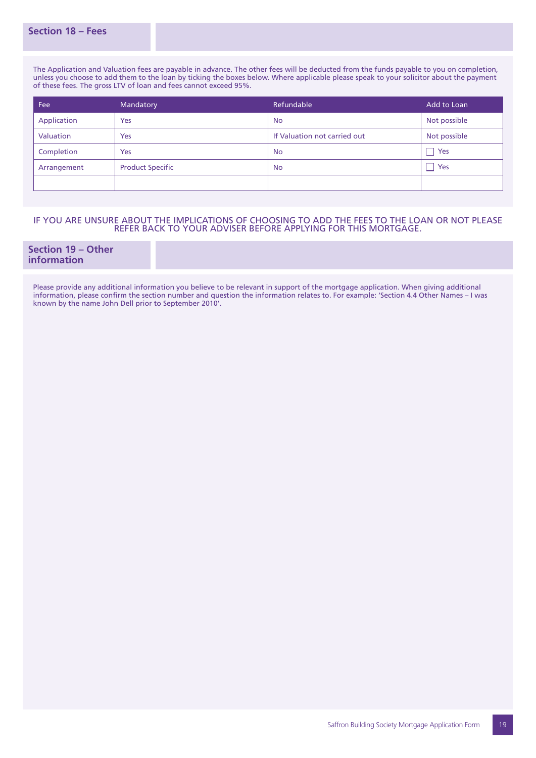**Section 18 – Fees**

The Application and Valuation fees are payable in advance. The other fees will be deducted from the funds payable to you on completion, unless you choose to add them to the loan by ticking the boxes below. Where applicable please speak to your solicitor about the payment of these fees. The gross LTV of loan and fees cannot exceed 95%.

| Fee         | Mandatory               | Refundable                   | Add to Loan  |
|-------------|-------------------------|------------------------------|--------------|
| Application | Yes                     | <b>No</b>                    | Not possible |
| Valuation   | Yes                     | If Valuation not carried out | Not possible |
| Completion  | Yes                     | <b>No</b>                    | Yes          |
| Arrangement | <b>Product Specific</b> | <b>No</b>                    | Yes          |
|             |                         |                              |              |

## IF YOU ARE UNSURE ABOUT THE IMPLICATIONS OF CHOOSING TO ADD THE FEES TO THE LOAN OR NOT PLEASE REFER BACK TO YOUR ADVISER BEFORE APPLYING FOR THIS MORTGAGE.

**Section 19 – Other information**

Please provide any additional information you believe to be relevant in support of the mortgage application. When giving additional information, please confirm the section number and question the information relates to. For example: 'Section 4.4 Other Names – I was known by the name John Dell prior to September 2010'.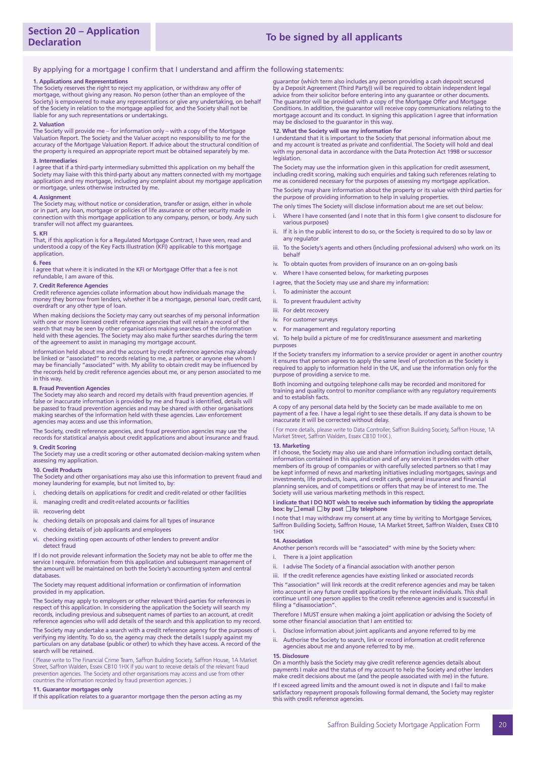#### By applying for a mortgage I confirm that I understand and affirm the following statements:

#### **1. Applications and Representations**

The Society reserves the right to reject my application, or withdraw any offer of mortgage, without giving any reason. No person (other than an employee of the Society) is empowered to make any representations or give any undertaking, on behalf of the Society in relation to the mortgage applied for, and the Society shall not be liable for any such representations or undertakings.

#### **2. Valuation**

The Society will provide me – for information only – with a copy of the Mortgage Valuation Report. The Society and the Valuer accept no responsibility to me for the accuracy of the Mortgage Valuation Report. If advice about the structural condition of the property is required an appropriate report must be obtained separately by me.

#### **3. Intermediaries**

I agree that if a third-party intermediary submitted this application on my behalf the Society may liaise with this third-party about any matters connected with my mortgage application and my mortgage, including any complaint about my mortgage application or mortgage, unless otherwise instructed by me.

#### **4. Assignment**

The Society may, without notice or consideration, transfer or assign, either in whole or in part, any loan, mortgage or policies of life assurance or other security made in connection with this mortgage application to any company, person, or body. Any such transfer will not affect my guarantees.

#### **5. KFI**

That, if this application is for a Regulated Mortgage Contract, I have seen, read and understood a copy of the Key Facts Illustration (KFI) applicable to this mortgage application.

#### **6. Fees**

I agree that where it is indicated in the KFI or Mortgage Offer that a fee is not refundable, I am aware of this.

#### **7. Credit Reference Agencies**

Credit reference agencies collate information about how individuals manage the money they borrow from lenders, whether it be a mortgage, personal loan, credit card, overdraft or any other type of loan.

When making decisions the Society may carry out searches of my personal information with one or more licensed credit reference agencies that will retain a record of the search that may be seen by other organisations making searches of the information held with these agencies. The Society may also make further searches during the term of the agreement to assist in managing my mortgage account.

Information held about me and the account by credit reference agencies may already be linked or "associated" to records relating to me, a partner, or anyone else whom may be financially "associated" with. My ability to obtain credit may be influenced by the records held by credit reference agencies about me, or any person associated to me in this way.

#### **8. Fraud Prevention Agencies**

The Society may also search and record my details with fraud prevention agencies. If false or inaccurate information is provided by me and fraud is identified, details will be passed to fraud prevention agencies and may be shared with other organisations making searches of the information held with these agencies. Law enforcement agencies may access and use this information.

The Society, credit reference agencies, and fraud prevention agencies may use the records for statistical analysis about credit applications and about insurance and fraud.

### **9. Credit Scoring**

The Society may use a credit scoring or other automated decision-making system when assessing my application.

#### **10. Credit Products**

The Society and other organisations may also use this information to prevent fraud and money laundering for example, but not limited to, by:

- i. checking details on applications for credit and credit-related or other facilities
- ii. managing credit and credit-related accounts or facilities
- iii. recovering debt
- iv. checking details on proposals and claims for all types of insurance
- v. checking details of job applicants and employees
- vi. checking existing open accounts of other lenders to prevent and/or detect fraud

#### If I do not provide relevant information the Society may not be able to offer me the service I require. Information from this application and subsequent management of the amount will be maintained on both the Society's accounting system and central databases.

#### The Society may request additional information or confirmation of information provided in my application.

The Society may apply to employers or other relevant third-parties for references in respect of this application. In considering the application the Society will search my records, including previous and subsequent names of parties to an account, at credit reference agencies who will add details of the search and this application to my record.

The Society may undertake a search with a credit reference agency for the purposes of verifying my identity. To do so, the agency may check the details I supply against my particulars on any database (public or other) to which they have access. A record of the search will be retained.

( Please write to The Financial Crime Team, Saffron Building Society, Saffron House, 1A Market Street, Saffron Walden, Essex CB10 1HX if you want to receive details of the relevant fraud prevention agencies. The Society and other organisations may access and use from other countries the information recorded by fraud prevention agencies. )

#### **11. Guarantor mortgages only**

If this application relates to a guarantor mortgage then the person acting as my

guarantor (which term also includes any person providing a cash deposit secured by a Deposit Agreement (Third Party)) will be required to obtain independent legal advice from their solicitor before entering into any guarantee or other documents. The guarantor will be provided with a copy of the Mortgage Offer and Mortgage Conditions. In addition, the guarantor will receive copy communications relating to the mortgage account and its conduct. In signing this application I agree that information may be disclosed to the guarantor in this way.

#### **12. What the Society will use my information for**

I understand that it is important to the Society that personal information about me and my account is treated as private and confidential. The Society will hold and deal with my personal data in accordance with the Data Protection Act 1998 or successor legislation.

The Society may use the information given in this application for credit assessment, including credit scoring, making such enquiries and taking such references relating to me as considered necessary for the purposes of assessing my mortgage application.

The Society may share information about the property or its value with third parties for the purpose of providing information to help in valuing properties.

The only times The Society will disclose information about me are set out below:

- i. Where I have consented (and I note that in this form I give consent to disclosure for various purposes)
- ii. If it is in the public interest to do so, or the Society is required to do so by law or any regulator
- iii. To the Society's agents and others (including professional advisers) who work on its behalf
- iv. To obtain quotes from providers of insurance on an on-going basis
- v. Where I have consented below, for marketing purposes
- I agree, that the Society may use and share my information:
- To administer the account
- ii. To prevent fraudulent activity
- iii. For debt recovery
- iv. For customer surveys
- v. For management and regulatory reporting
- vi. To help build a picture of me for credit/insurance assessment and marketing purposes

If the Society transfers my information to a service provider or agent in another country it ensures that person agrees to apply the same level of protection as the Society is required to apply to information held in the UK, and use the information only for the purpose of providing a service to me.

Both incoming and outgoing telephone calls may be recorded and monitored for training and quality control to monitor compliance with any regulatory requirements and to establish facts.

A copy of any personal data held by the Society can be made available to me on payment of a fee. I have a legal right to see these details. If any data is shown to be inaccurate it will be corrected without delay.

( For more details, please write to Data Controller, Saffron Building Society, Saffron House, 1A Market Street, Saffron Walden, Essex CB10 1HX ).

#### **13. Marketing**

If I choose, the Society may also use and share information including contact details, information contained in this application and of any services it provides with other<br>members of its group of companies or with carefully selected partners so that I may<br>be kept informed of news and marketing initiatives in investments, life products, loans, and credit cards, general insurance and financial planning services, and of competitions or offers that may be of interest to me. The Society will use various marketing methods in this respect.

#### **I indicate that I DO NOT wish to receive such information by ticking the appropriate box:** by □ email □ by post □ by telephone

I note that I may withdraw my consent at any time by writing to Mortgage Services, Saffron Building Society, Saffron House, 1A Market Street, Saffron Walden, Essex CB10 1HX

#### **14. Association**

Another person's records will be "associated" with mine by the Society when:

- i. There is a joint application
- ii. I advise The Society of a financial association with another person
- iii. If the credit reference agencies have existing linked or associated records

This "association" will link records at the credit reference agencies and may be taken into account in any future credit applications by the relevant individuals. This shall continue until one person applies to the credit reference agencies and is successful in filing a "disassociation"

Therefore I MUST ensure when making a joint application or advising the Society of some other financial association that I am entitled to:

- i. Disclose information about joint applicants and anyone referred to by me
- ii. Authorise the Society to search, link or record information at credit reference agencies about me and anyone referred to by me.

#### **15. Disclosure**

On a monthly basis the Society may give credit reference agencies details about payments I make and the status of my account to help the Society and other lenders make credit decisions about me (and the people associated with me) in the future.

If I exceed agreed limits and the amount owed is not in dispute and I fail to make satisfactory repayment proposals following formal demand, the Society may register this with credit reference agencies.